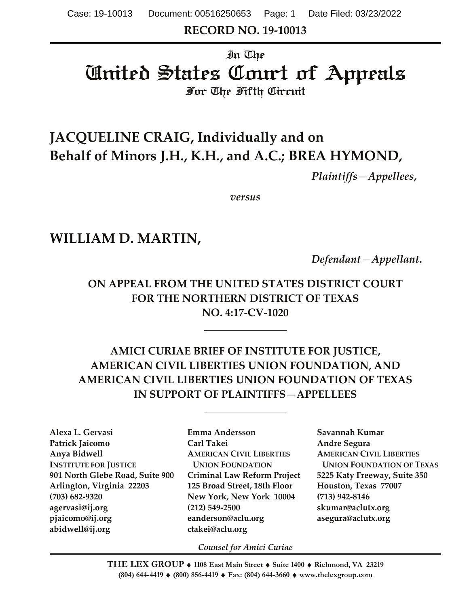**RECORD NO. 19-10013**

# In The United States Court of Appeals For The Fifth Circuit

# **JACQUELINE CRAIG, Individually and on Behalf of Minors J.H., K.H., and A.C.; BREA HYMOND,**

*Plaintiffs—Appellees***,**

*versus*

# **WILLIAM D. MARTIN,**

*Defendant—Appellant***.**

**ON APPEAL FROM THE UNITED STATES DISTRICT COURT FOR THE NORTHERN DISTRICT OF TEXAS NO. 4:17-CV-1020**

## **AMICI CURIAE BRIEF OF INSTITUTE FOR JUSTICE, AMERICAN CIVIL LIBERTIES UNION FOUNDATION, AND AMERICAN CIVIL LIBERTIES UNION FOUNDATION OF TEXAS IN SUPPORT OF PLAINTIFFS***—***APPELLEES**

**Alexa L. Gervasi Emma Andersson Savannah Kumar Patrick Jaicomo Carl Takei Andre Segura Anya Bidwell AMERICAN CIVIL LIBERTIES AMERICAN CIVIL LIBERTIES INSTITUTE FOR JUSTICE UNION FOUNDATION UNION FOUNDATION OF TEXAS 901 North Glebe Road, Suite 900 Criminal Law Reform Project 5225 Katy Freeway, Suite 350 Arlington, Virginia 22203 125 Broad Street, 18th Floor Houston, Texas 77007 (703) 682-9320 New York, New York 10004 (713) 942-8146 agervasi@ij.org (212) 549-2500 skumar@aclutx.org pjaicomo@ij.org eanderson@aclu.org asegura@aclutx.org abidwell@ij.org ctakei@aclu.org**

*Counsel for Amici Curiae*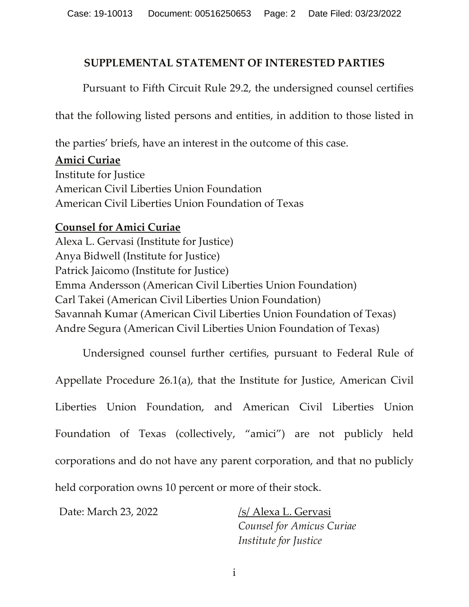#### **SUPPLEMENTAL STATEMENT OF INTERESTED PARTIES**

Pursuant to Fifth Circuit Rule 29.2, the undersigned counsel certifies

that the following listed persons and entities, in addition to those listed in

the parties' briefs, have an interest in the outcome of this case.

#### **Amici Curiae**

Institute for Justice American Civil Liberties Union Foundation American Civil Liberties Union Foundation of Texas

#### **Counsel for Amici Curiae**

Alexa L. Gervasi (Institute for Justice) Anya Bidwell (Institute for Justice) Patrick Jaicomo (Institute for Justice) Emma Andersson (American Civil Liberties Union Foundation) Carl Takei (American Civil Liberties Union Foundation) Savannah Kumar (American Civil Liberties Union Foundation of Texas) Andre Segura (American Civil Liberties Union Foundation of Texas)

Undersigned counsel further certifies, pursuant to Federal Rule of Appellate Procedure 26.1(a), that the Institute for Justice, American Civil Liberties Union Foundation, and American Civil Liberties Union Foundation of Texas (collectively, "amici") are not publicly held corporations and do not have any parent corporation, and that no publicly held corporation owns 10 percent or more of their stock.

Date: March 23, 2022 /s/ Alexa L. Gervasi

*Counsel for Amicus Curiae Institute for Justice*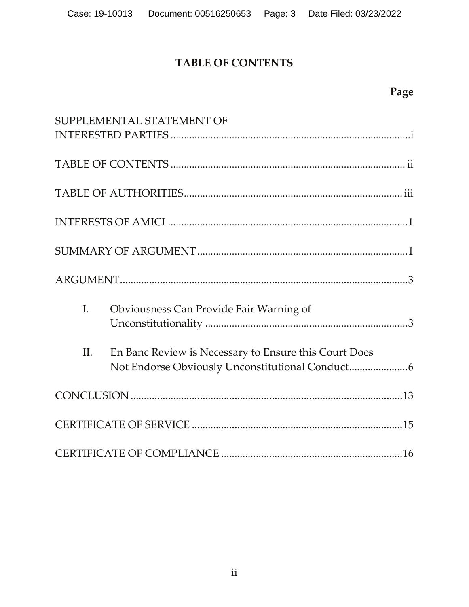## **TABLE OF CONTENTS**

# **Page**

|             | SUPPLEMENTAL STATEMENT OF                             |  |  |
|-------------|-------------------------------------------------------|--|--|
|             |                                                       |  |  |
|             |                                                       |  |  |
|             |                                                       |  |  |
|             |                                                       |  |  |
|             |                                                       |  |  |
| $I_{\cdot}$ | Obviousness Can Provide Fair Warning of               |  |  |
| II.         | En Banc Review is Necessary to Ensure this Court Does |  |  |
|             |                                                       |  |  |
|             |                                                       |  |  |
|             |                                                       |  |  |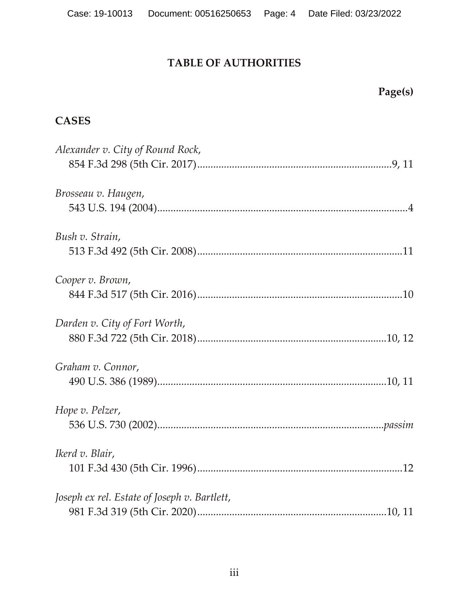## **TABLE OF AUTHORITIES**

# **Page(s)**

## **CASES**

| Alexander v. City of Round Rock,             |
|----------------------------------------------|
|                                              |
| Brosseau v. Haugen,                          |
|                                              |
| Bush v. Strain,                              |
|                                              |
| Cooper v. Brown,                             |
|                                              |
| Darden v. City of Fort Worth,                |
|                                              |
| Graham v. Connor,                            |
|                                              |
| Hope v. Pelzer,                              |
|                                              |
| Ikerd v. Blair,                              |
|                                              |
| Joseph ex rel. Estate of Joseph v. Bartlett, |
|                                              |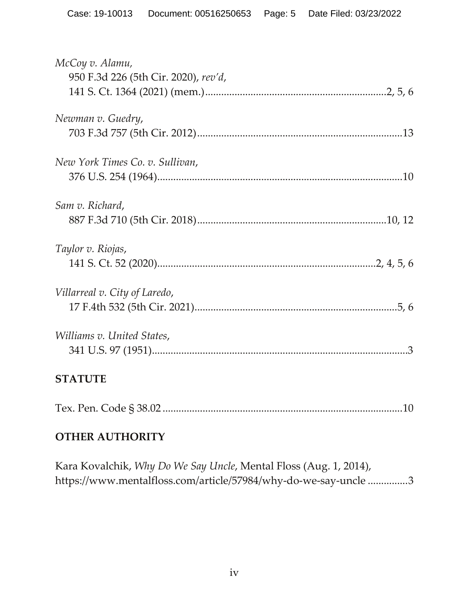| McCoy v. Alamu,<br>950 F.3d 226 (5th Cir. 2020), rev'd, |
|---------------------------------------------------------|
| Newman v. Guedry,                                       |
| New York Times Co. v. Sullivan,                         |
| Sam v. Richard,                                         |
| Taylor v. Riojas,                                       |
| Villarreal v. City of Laredo,                           |
| Williams v. United States,                              |
| <b>STATUTE</b>                                          |
|                                                         |
|                                                         |

## **OTHER AUTHORITY**

Kara Kovalchik, *Why Do We Say Uncle*, Mental Floss (Aug. 1, 2014), https://www.mentalfloss.com/article/57984/why-do-we-say-uncle ...............3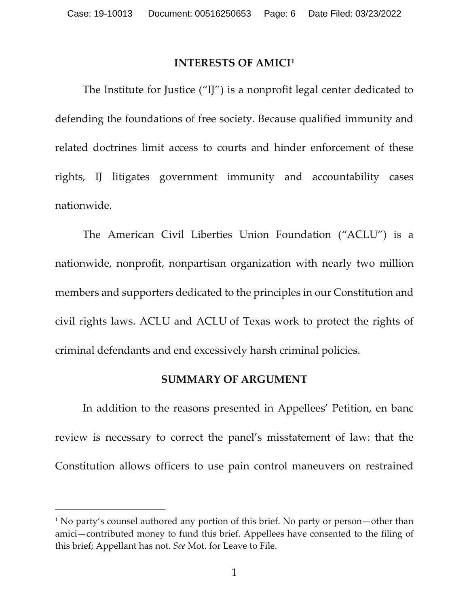#### **INTERESTS OF AMICI[1](#page-5-0)**

The Institute for Justice ("IJ") is a nonprofit legal center dedicated to defending the foundations of free society. Because qualified immunity and related doctrines limit access to courts and hinder enforcement of these rights, IJ litigates government immunity and accountability cases nationwide.

The American Civil Liberties Union Foundation ("ACLU") is a nationwide, nonprofit, nonpartisan organization with nearly two million members and supporters dedicated to the principles in our Constitution and civil rights laws. ACLU and ACLU of Texas work to protect the rights of criminal defendants and end excessively harsh criminal policies.

#### **SUMMARY OF ARGUMENT**

In addition to the reasons presented in Appellees' Petition, en banc review is necessary to correct the panel's misstatement of law: that the Constitution allows officers to use pain control maneuvers on restrained

<span id="page-5-0"></span><sup>&</sup>lt;sup>1</sup> No party's counsel authored any portion of this brief. No party or person—other than amici—contributed money to fund this brief. Appellees have consented to the filing of this brief; Appellant has not. *See* Mot. for Leave to File.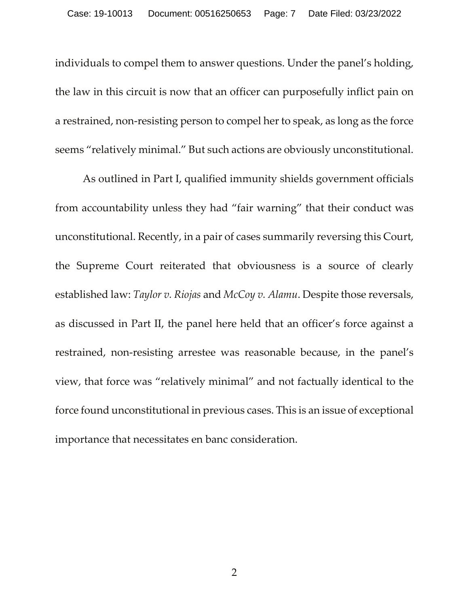individuals to compel them to answer questions. Under the panel's holding, the law in this circuit is now that an officer can purposefully inflict pain on a restrained, non-resisting person to compel her to speak, as long as the force seems "relatively minimal." But such actions are obviously unconstitutional.

As outlined in Part I, qualified immunity shields government officials from accountability unless they had "fair warning" that their conduct was unconstitutional. Recently, in a pair of cases summarily reversing this Court, the Supreme Court reiterated that obviousness is a source of clearly established law: *Taylor v. Riojas* and *McCoy v. Alamu*. Despite those reversals, as discussed in Part II, the panel here held that an officer's force against a restrained, non-resisting arrestee was reasonable because, in the panel's view, that force was "relatively minimal" and not factually identical to the force found unconstitutional in previous cases. This is an issue of exceptional importance that necessitates en banc consideration.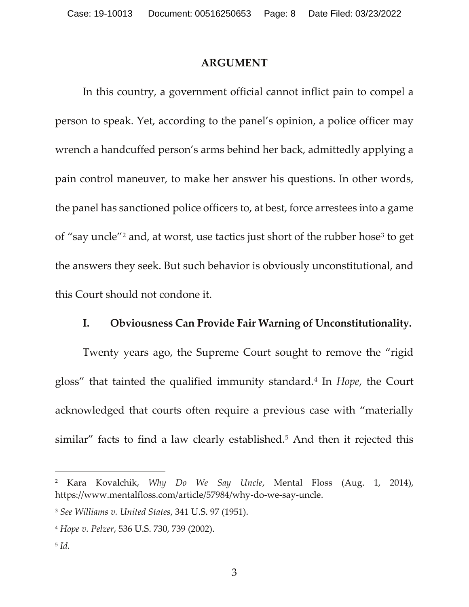#### **ARGUMENT**

In this country, a government official cannot inflict pain to compel a person to speak. Yet, according to the panel's opinion, a police officer may wrench a handcuffed person's arms behind her back, admittedly applying a pain control maneuver, to make her answer his questions. In other words, the panel has sanctioned police officers to, at best, force arrestees into a game of "say uncle"[2](#page-7-0) and, at worst, use tactics just short of the rubber hose[3](#page-7-1) to get the answers they seek. But such behavior is obviously unconstitutional, and this Court should not condone it.

#### **I. Obviousness Can Provide Fair Warning of Unconstitutionality.**

Twenty years ago, the Supreme Court sought to remove the "rigid gloss" that tainted the qualified immunity standard.[4](#page-7-2) In *Hope*, the Court acknowledged that courts often require a previous case with "materially similar" facts to find a law clearly established.<sup>5</sup> And then it rejected this

<span id="page-7-0"></span><sup>2</sup> Kara Kovalchik, *Why Do We Say Uncle*, Mental Floss (Aug. 1, 2014), https://www.mentalfloss.com/article/57984/why-do-we-say-uncle.

<span id="page-7-1"></span><sup>3</sup> *See Williams v. United States*, 341 U.S. 97 (1951).

<span id="page-7-2"></span><sup>4</sup> *Hope v. Pelzer*, 536 U.S. 730, 739 (2002).

<span id="page-7-3"></span><sup>5</sup> *Id.*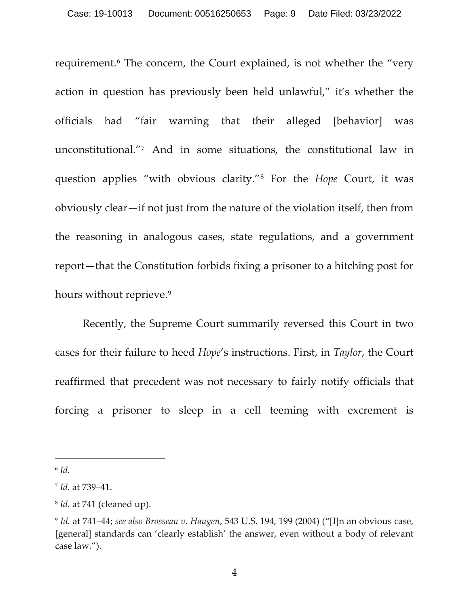requirement.[6](#page-8-0) The concern, the Court explained, is not whether the "very action in question has previously been held unlawful," it's whether the officials had "fair warning that their alleged [behavior] was unconstitutional."[7](#page-8-1) And in some situations, the constitutional law in question applies "with obvious clarity."[8](#page-8-2) For the *Hope* Court, it was obviously clear—if not just from the nature of the violation itself, then from the reasoning in analogous cases, state regulations, and a government report—that the Constitution forbids fixing a prisoner to a hitching post for hours without reprieve.<sup>[9](#page-8-3)</sup>

Recently, the Supreme Court summarily reversed this Court in two cases for their failure to heed *Hope*'s instructions. First, in *Taylor*, the Court reaffirmed that precedent was not necessary to fairly notify officials that forcing a prisoner to sleep in a cell teeming with excrement is

<span id="page-8-0"></span> $6$   $Id.$ 

<span id="page-8-1"></span><sup>7</sup> *Id.* at 739–41.

<span id="page-8-2"></span><sup>8</sup> *Id.* at 741 (cleaned up).

<span id="page-8-3"></span><sup>9</sup> *Id.* at 741–44; *see also Brosseau v. Haugen*, 543 U.S. 194, 199 (2004) ("[I]n an obvious case, [general] standards can 'clearly establish' the answer, even without a body of relevant case law.").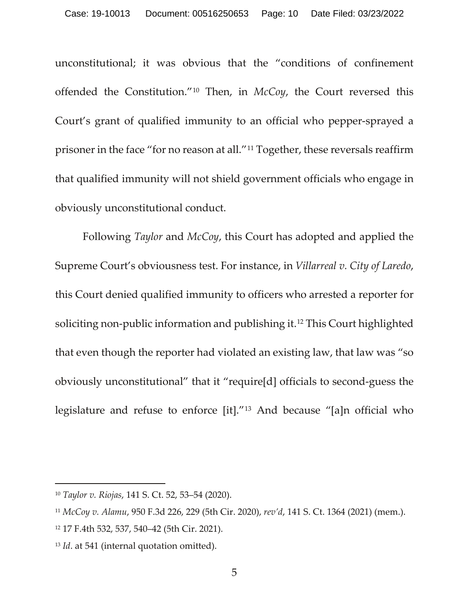unconstitutional; it was obvious that the "conditions of confinement offended the Constitution."[10](#page-9-0) Then, in *McCoy*, the Court reversed this Court's grant of qualified immunity to an official who pepper-sprayed a prisoner in the face "for no reason at all."[11](#page-9-1) Together, these reversals reaffirm that qualified immunity will not shield government officials who engage in obviously unconstitutional conduct.

Following *Taylor* and *McCoy*, this Court has adopted and applied the Supreme Court's obviousness test. For instance, in *Villarreal v. City of Laredo*, this Court denied qualified immunity to officers who arrested a reporter for soliciting non-public information and publishing it.[12](#page-9-2) This Court highlighted that even though the reporter had violated an existing law, that law was "so obviously unconstitutional" that it "require[d] officials to second-guess the legislature and refuse to enforce [it]."[13](#page-9-3) And because "[a]n official who

<span id="page-9-0"></span><sup>10</sup> *Taylor v. Riojas*, 141 S. Ct. 52, 53–54 (2020).

<span id="page-9-1"></span><sup>11</sup> *McCoy v. Alamu*, 950 F.3d 226, 229 (5th Cir. 2020), *rev'd*, 141 S. Ct. 1364 (2021) (mem.).

<span id="page-9-2"></span><sup>12</sup> 17 F.4th 532, 537, 540–42 (5th Cir. 2021).

<span id="page-9-3"></span><sup>&</sup>lt;sup>13</sup> *Id.* at 541 (internal quotation omitted).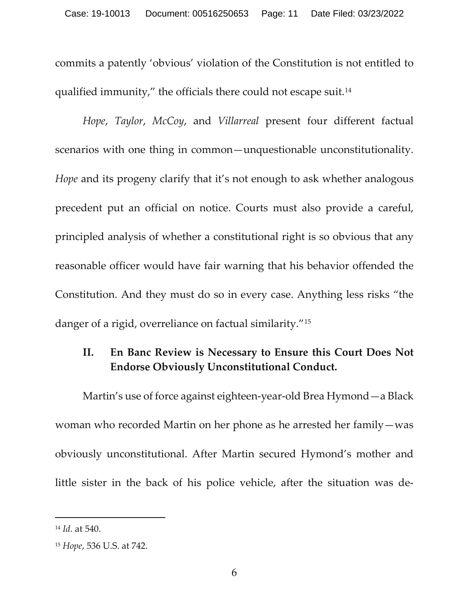commits a patently 'obvious' violation of the Constitution is not entitled to qualified immunity," the officials there could not escape suit[.14](#page-10-0)

*Hope*, *Taylor*, *McCoy*, and *Villarreal* present four different factual scenarios with one thing in common—unquestionable unconstitutionality. *Hope* and its progeny clarify that it's not enough to ask whether analogous precedent put an official on notice. Courts must also provide a careful, principled analysis of whether a constitutional right is so obvious that any reasonable officer would have fair warning that his behavior offended the Constitution. And they must do so in every case. Anything less risks "the danger of a rigid, overreliance on factual similarity."[15](#page-10-1)

## **II. En Banc Review is Necessary to Ensure this Court Does Not Endorse Obviously Unconstitutional Conduct.**

Martin's use of force against eighteen-year-old Brea Hymond—a Black woman who recorded Martin on her phone as he arrested her family—was obviously unconstitutional. After Martin secured Hymond's mother and little sister in the back of his police vehicle, after the situation was de-

<span id="page-10-0"></span><sup>14</sup> *Id.* at 540.

<span id="page-10-1"></span><sup>15</sup> *Hope*, 536 U.S. at 742.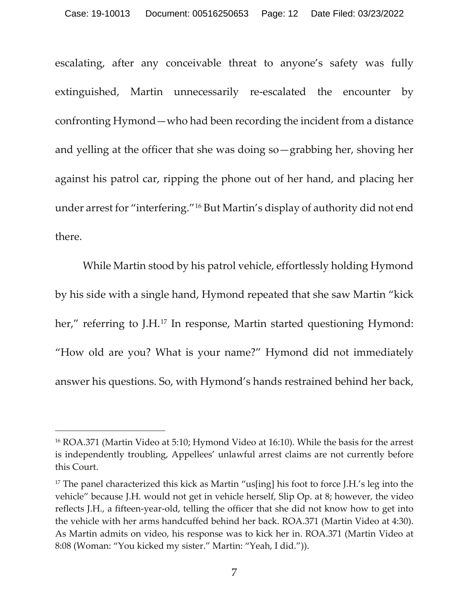escalating, after any conceivable threat to anyone's safety was fully extinguished, Martin unnecessarily re-escalated the encounter by confronting Hymond—who had been recording the incident from a distance and yelling at the officer that she was doing so—grabbing her, shoving her against his patrol car, ripping the phone out of her hand, and placing her under arrest for "interfering."[16](#page-11-0) But Martin's display of authority did not end there.

While Martin stood by his patrol vehicle, effortlessly holding Hymond by his side with a single hand, Hymond repeated that she saw Martin "kick her," referring to J.H.<sup>[17](#page-11-1)</sup> In response, Martin started questioning Hymond: "How old are you? What is your name?" Hymond did not immediately answer his questions. So, with Hymond's hands restrained behind her back,

<span id="page-11-0"></span><sup>16</sup> ROA.371 (Martin Video at 5:10; Hymond Video at 16:10). While the basis for the arrest is independently troubling, Appellees' unlawful arrest claims are not currently before this Court.

<span id="page-11-1"></span><sup>&</sup>lt;sup>17</sup> The panel characterized this kick as Martin "us[ing] his foot to force J.H.'s leg into the vehicle" because J.H. would not get in vehicle herself, Slip Op. at 8; however, the video reflects J.H., a fifteen-year-old, telling the officer that she did not know how to get into the vehicle with her arms handcuffed behind her back. ROA.371 (Martin Video at 4:30). As Martin admits on video, his response was to kick her in. ROA.371 (Martin Video at 8:08 (Woman: "You kicked my sister." Martin: "Yeah, I did.")).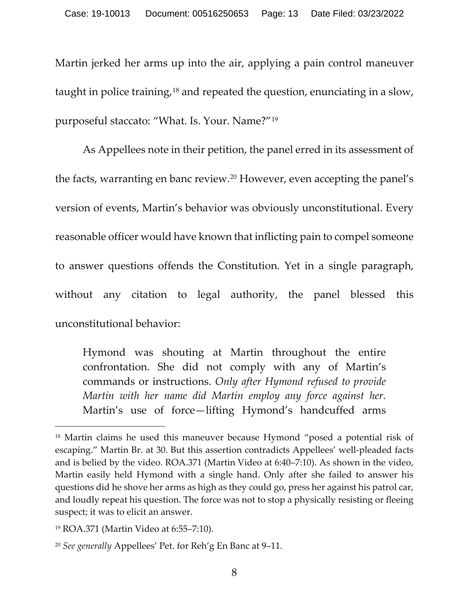Martin jerked her arms up into the air, applying a pain control maneuver taught in police training,[18](#page-12-0) and repeated the question, enunciating in a slow, purposeful staccato: "What. Is. Your. Name?"[19](#page-12-1)

As Appellees note in their petition, the panel erred in its assessment of the facts, warranting en banc review.[20](#page-12-2) However, even accepting the panel's version of events, Martin's behavior was obviously unconstitutional. Every reasonable officer would have known that inflicting pain to compel someone to answer questions offends the Constitution. Yet in a single paragraph, without any citation to legal authority, the panel blessed this unconstitutional behavior:

Hymond was shouting at Martin throughout the entire confrontation. She did not comply with any of Martin's commands or instructions. *Only after Hymond refused to provide Martin with her name did Martin employ any force against her.* Martin's use of force—lifting Hymond's handcuffed arms

<span id="page-12-0"></span><sup>&</sup>lt;sup>18</sup> Martin claims he used this maneuver because Hymond "posed a potential risk of escaping." Martin Br. at 30. But this assertion contradicts Appellees' well-pleaded facts and is belied by the video. ROA.371 (Martin Video at 6:40–7:10). As shown in the video, Martin easily held Hymond with a single hand. Only after she failed to answer his questions did he shove her arms as high as they could go, press her against his patrol car, and loudly repeat his question. The force was not to stop a physically resisting or fleeing suspect; it was to elicit an answer.

<span id="page-12-1"></span><sup>19</sup> ROA.371 (Martin Video at 6:55–7:10).

<span id="page-12-2"></span><sup>20</sup> *See generally* Appellees' Pet. for Reh'g En Banc at 9–11.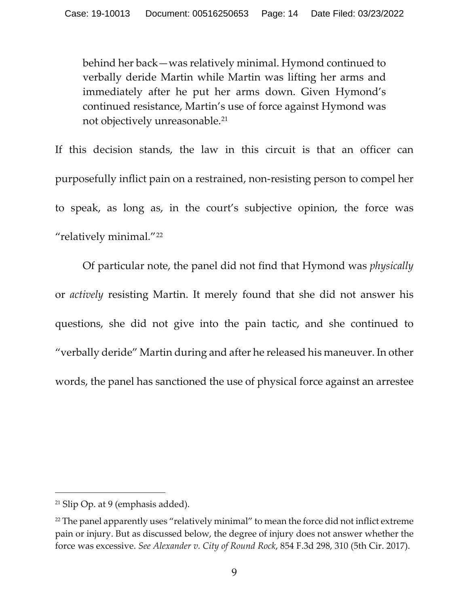behind her back—was relatively minimal. Hymond continued to verbally deride Martin while Martin was lifting her arms and immediately after he put her arms down. Given Hymond's continued resistance, Martin's use of force against Hymond was not objectively unreasonable.[21](#page-13-0)

If this decision stands, the law in this circuit is that an officer can purposefully inflict pain on a restrained, non-resisting person to compel her to speak, as long as, in the court's subjective opinion, the force was "relatively minimal."[22](#page-13-1)

Of particular note, the panel did not find that Hymond was *physically*  or *actively* resisting Martin. It merely found that she did not answer his questions, she did not give into the pain tactic, and she continued to "verbally deride" Martin during and after he released his maneuver. In other words, the panel has sanctioned the use of physical force against an arrestee

<span id="page-13-0"></span> $21$  Slip Op. at 9 (emphasis added).

<span id="page-13-1"></span> $22$  The panel apparently uses "relatively minimal" to mean the force did not inflict extreme pain or injury. But as discussed below, the degree of injury does not answer whether the force was excessive. *See Alexander v. City of Round Rock*, 854 F.3d 298, 310 (5th Cir. 2017).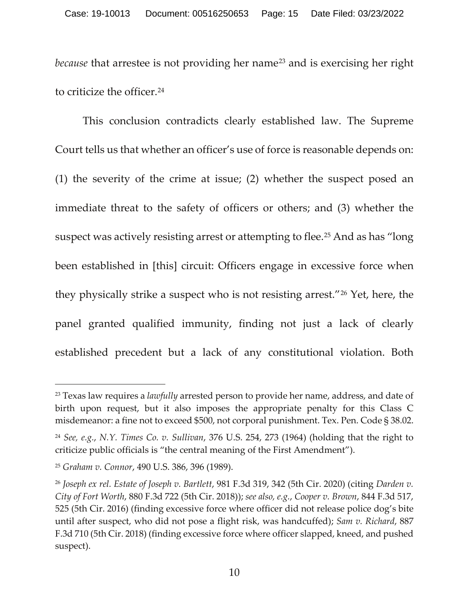*because* that arrestee is not providing her name<sup>[23](#page-14-0)</sup> and is exercising her right to criticize the officer. [24](#page-14-1)

This conclusion contradicts clearly established law. The Supreme Court tells us that whether an officer's use of force is reasonable depends on: (1) the severity of the crime at issue; (2) whether the suspect posed an immediate threat to the safety of officers or others; and (3) whether the suspect was actively resisting arrest or attempting to flee.<sup>[25](#page-14-2)</sup> And as has "long" been established in [this] circuit: Officers engage in excessive force when they physically strike a suspect who is not resisting arrest."[26](#page-14-3) Yet, here, the panel granted qualified immunity, finding not just a lack of clearly established precedent but a lack of any constitutional violation. Both

<span id="page-14-0"></span><sup>23</sup> Texas law requires a *lawfully* arrested person to provide her name, address, and date of birth upon request, but it also imposes the appropriate penalty for this Class C misdemeanor: a fine not to exceed \$500, not corporal punishment. Tex. Pen. Code § 38.02.

<span id="page-14-1"></span><sup>24</sup> *See, e.g.*, *N.Y. Times Co. v. Sullivan*, 376 U.S. 254, 273 (1964) (holding that the right to criticize public officials is "the central meaning of the First Amendment").

<span id="page-14-2"></span><sup>25</sup> *Graham v. Connor*, 490 U.S. 386, 396 (1989).

<span id="page-14-3"></span><sup>26</sup> *Joseph ex rel. Estate of Joseph v. Bartlett*, 981 F.3d 319, 342 (5th Cir. 2020) (citing *Darden v. City of Fort Worth*, 880 F.3d 722 (5th Cir. 2018)); *see also, e.g.*, *Cooper v. Brown*, 844 F.3d 517, 525 (5th Cir. 2016) (finding excessive force where officer did not release police dog's bite until after suspect, who did not pose a flight risk, was handcuffed); *Sam v. Richard*, 887 F.3d 710 (5th Cir. 2018) (finding excessive force where officer slapped, kneed, and pushed suspect).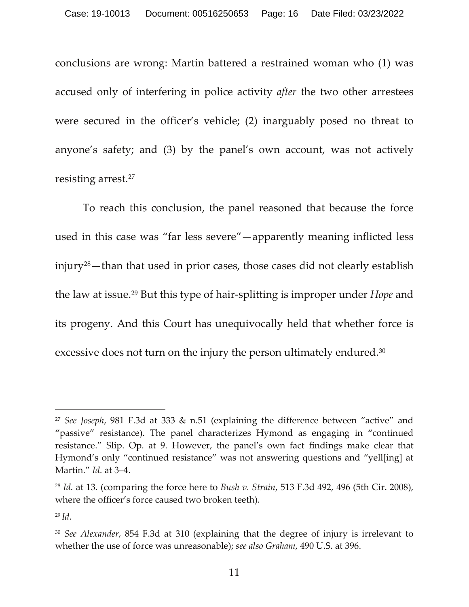conclusions are wrong: Martin battered a restrained woman who (1) was accused only of interfering in police activity *after* the two other arrestees were secured in the officer's vehicle; (2) inarguably posed no threat to anyone's safety; and (3) by the panel's own account, was not actively resisting arrest. [27](#page-15-0)

To reach this conclusion, the panel reasoned that because the force used in this case was "far less severe"—apparently meaning inflicted less  $injury<sup>28</sup>$  $injury<sup>28</sup>$  $injury<sup>28</sup>$  – than that used in prior cases, those cases did not clearly establish the law at issue. [29](#page-15-2) But this type of hair-splitting is improper under *Hope* and its progeny. And this Court has unequivocally held that whether force is excessive does not turn on the injury the person ultimately endured.<sup>[30](#page-15-3)</sup>

<span id="page-15-0"></span><sup>27</sup> *See Joseph*, 981 F.3d at 333 & n.51 (explaining the difference between "active" and "passive" resistance). The panel characterizes Hymond as engaging in "continued resistance." Slip. Op. at 9. However, the panel's own fact findings make clear that Hymond's only "continued resistance" was not answering questions and "yell[ing] at Martin." *Id.* at 3–4.

<span id="page-15-1"></span><sup>28</sup> *Id.* at 13. (comparing the force here to *Bush v. Strain*, 513 F.3d 492, 496 (5th Cir. 2008), where the officer's force caused two broken teeth).

<span id="page-15-2"></span><sup>29</sup> *Id.* 

<span id="page-15-3"></span><sup>30</sup> *See Alexander*, 854 F.3d at 310 (explaining that the degree of injury is irrelevant to whether the use of force was unreasonable); *see also Graham*, 490 U.S. at 396.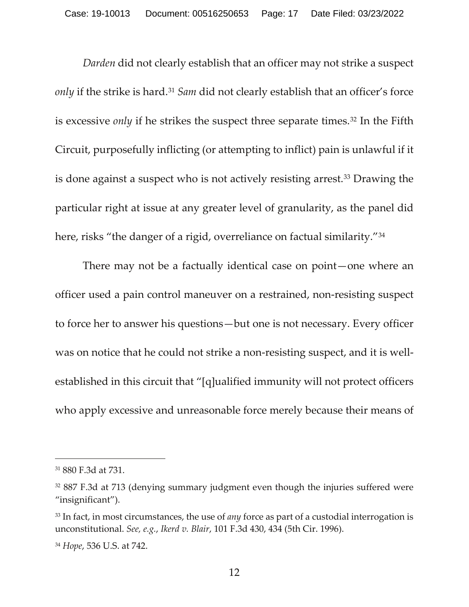*Darden* did not clearly establish that an officer may not strike a suspect *only* if the strike is hard.<sup>[31](#page-16-0)</sup> *Sam* did not clearly establish that an officer's force is excessive *only* if he strikes the suspect three separate times.<sup>[32](#page-16-1)</sup> In the Fifth Circuit, purposefully inflicting (or attempting to inflict) pain is unlawful if it is done against a suspect who is not actively resisting arrest. [33](#page-16-2) Drawing the particular right at issue at any greater level of granularity, as the panel did here, risks "the danger of a rigid, overreliance on factual similarity."<sup>[34](#page-16-3)</sup>

There may not be a factually identical case on point—one where an officer used a pain control maneuver on a restrained, non-resisting suspect to force her to answer his questions—but one is not necessary. Every officer was on notice that he could not strike a non-resisting suspect, and it is wellestablished in this circuit that "[q]ualified immunity will not protect officers who apply excessive and unreasonable force merely because their means of

<span id="page-16-0"></span><sup>31</sup> 880 F.3d at 731.

<span id="page-16-1"></span><sup>&</sup>lt;sup>32</sup> 887 F.3d at 713 (denying summary judgment even though the injuries suffered were "insignificant").

<span id="page-16-2"></span><sup>33</sup> In fact, in most circumstances, the use of *any* force as part of a custodial interrogation is unconstitutional. *See, e.g.*, *Ikerd v. Blair*, 101 F.3d 430, 434 (5th Cir. 1996).

<span id="page-16-3"></span><sup>34</sup> *Hope*, 536 U.S. at 742.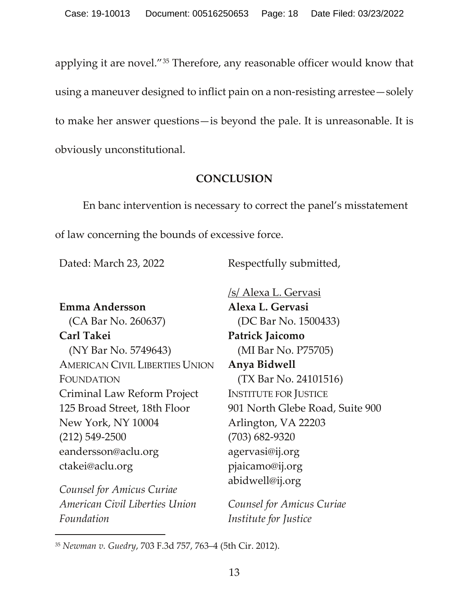applying it are novel."[35](#page-17-0) Therefore, any reasonable officer would know that using a maneuver designed to inflict pain on a non-resisting arrestee—solely to make her answer questions—is beyond the pale. It is unreasonable. It is obviously unconstitutional.

## **CONCLUSION**

En banc intervention is necessary to correct the panel's misstatement of law concerning the bounds of excessive force.

Dated: March 23, 2022 Respectfully submitted,

**Emma Andersson** (CA Bar No. 260637) **Carl Takei** (NY Bar No. 5749643) AMERICAN CIVIL LIBERTIES UNION FOUNDATION Criminal Law Reform Project 125 Broad Street, 18th Floor New York, NY 10004 (212) 549-2500 eandersson@aclu.org ctakei@aclu.org

*Counsel for Amicus Curiae American Civil Liberties Union Foundation*

/s/ Alexa L. Gervasi **Alexa L. Gervasi** (DC Bar No. 1500433) **Patrick Jaicomo** (MI Bar No. P75705) **Anya Bidwell**  (TX Bar No. 24101516) INSTITUTE FOR JUSTICE 901 North Glebe Road, Suite 900 Arlington, VA 22203 (703) 682-9320 agervasi@ij.org pjaicamo@ij.org abidwell@ij.org

*Counsel for Amicus Curiae Institute for Justice*

<span id="page-17-0"></span><sup>35</sup> *Newman v. Guedry*, 703 F.3d 757, 763–4 (5th Cir. 2012).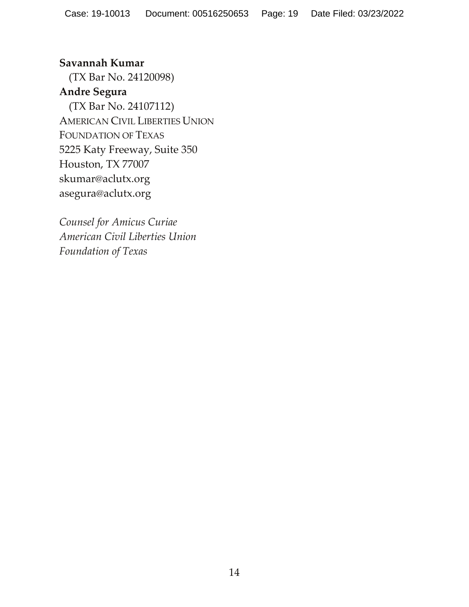**Savannah Kumar** (TX Bar No. 24120098) **Andre Segura** (TX Bar No. 24107112) AMERICAN CIVIL LIBERTIES UNION FOUNDATION OF TEXAS 5225 Katy Freeway, Suite 350 Houston, TX 77007 skumar@aclutx.org asegura@aclutx.org

*Counsel for Amicus Curiae American Civil Liberties Union Foundation of Texas*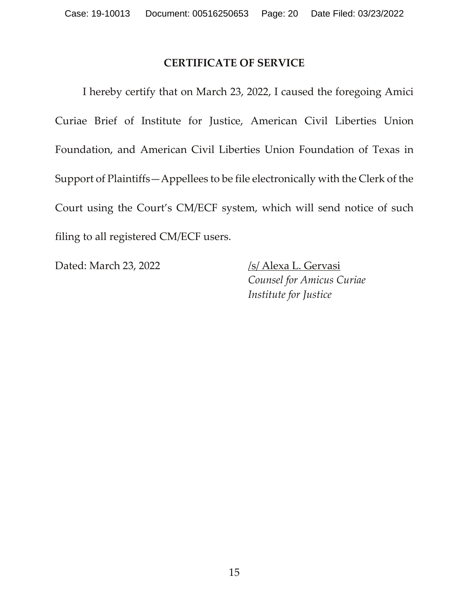#### **CERTIFICATE OF SERVICE**

I hereby certify that on March 23, 2022, I caused the foregoing Amici Curiae Brief of Institute for Justice, American Civil Liberties Union Foundation, and American Civil Liberties Union Foundation of Texas in Support of Plaintiffs—Appellees to be file electronically with the Clerk of the Court using the Court's CM/ECF system, which will send notice of such filing to all registered CM/ECF users.

Dated: March 23, 2022 /s/ Alexa L. Gervasi

*Counsel for Amicus Curiae Institute for Justice*